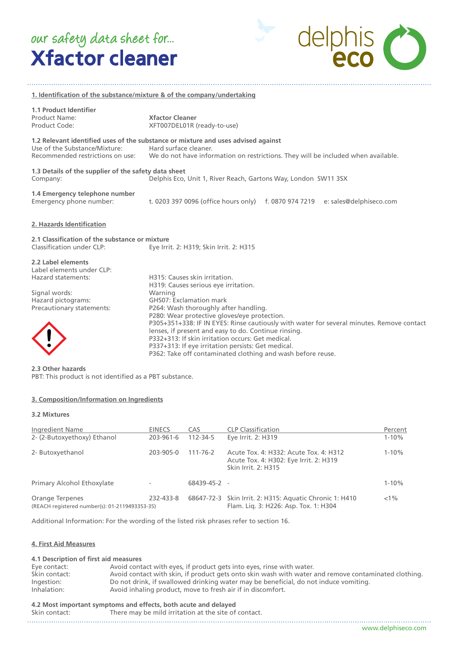# Xfactor cleaner our safety data sheet for...

delphis C

| 1. Identification of the substance/mixture & of the company/undertaking                                                                   |                                                                                                                                                                                                                                                                                                                                                                                                                                                                                                                                     |  |  |
|-------------------------------------------------------------------------------------------------------------------------------------------|-------------------------------------------------------------------------------------------------------------------------------------------------------------------------------------------------------------------------------------------------------------------------------------------------------------------------------------------------------------------------------------------------------------------------------------------------------------------------------------------------------------------------------------|--|--|
| <b>1.1 Product Identifier</b><br>Product Name:<br>Product Code:                                                                           | <b>Xfactor Cleaner</b><br>XFT007DEL01R (ready-to-use)                                                                                                                                                                                                                                                                                                                                                                                                                                                                               |  |  |
| Use of the Substance/Mixture:<br>Recommended restrictions on use:                                                                         | 1.2 Relevant identified uses of the substance or mixture and uses advised against<br>Hard surface cleaner.<br>We do not have information on restrictions. They will be included when available.                                                                                                                                                                                                                                                                                                                                     |  |  |
| 1.3 Details of the supplier of the safety data sheet<br>Company:                                                                          | Delphis Eco, Unit 1, River Reach, Gartons Way, London SW11 3SX                                                                                                                                                                                                                                                                                                                                                                                                                                                                      |  |  |
| 1.4 Emergency telephone number<br>Emergency phone number:                                                                                 | t. 0203 397 0096 (office hours only) f. 0870 974 7219 e: sales@delphiseco.com                                                                                                                                                                                                                                                                                                                                                                                                                                                       |  |  |
| 2. Hazards Identification                                                                                                                 |                                                                                                                                                                                                                                                                                                                                                                                                                                                                                                                                     |  |  |
| 2.1 Classification of the substance or mixture<br>Classification under CLP:                                                               | Eye Irrit. 2: H319; Skin Irrit. 2: H315                                                                                                                                                                                                                                                                                                                                                                                                                                                                                             |  |  |
| 2.2 Label elements<br>Label elements under CLP:<br>Hazard statements:<br>Signal words:<br>Hazard pictograms:<br>Precautionary statements: | H315: Causes skin irritation.<br>H319: Causes serious eye irritation.<br>Warning<br>GHS07: Exclamation mark<br>P264: Wash thoroughly after handling.<br>P280: Wear protective gloves/eye protection.<br>P305+351+338: IF IN EYES: Rinse cautiously with water for several minutes. Remove contact<br>lenses, if present and easy to do. Continue rinsing.<br>P332+313: If skin irritation occurs: Get medical.<br>P337+313: If eye irritation persists: Get medical.<br>P362: Take off contaminated clothing and wash before reuse. |  |  |

**2.3 Other hazards** PBT: This product is not identified as a PBT substance.

#### **3. Composition/Information on Ingredients**

#### **3.2 Mixtures**

| <b>Ingredient Name</b>                                            | <b>EINECS</b>            | CAS            | <b>CLP Classification</b>                                                                                      | Percent   |
|-------------------------------------------------------------------|--------------------------|----------------|----------------------------------------------------------------------------------------------------------------|-----------|
| 2- (2-Butoxyethoxy) Ethanol                                       | 203-961-6                | 112-34-5       | Eye Irrit. 2: H319                                                                                             | $1 - 10%$ |
| 2- Butoxyethanol                                                  | 203-905-0                | $111 - 76 - 2$ | Acute Tox. 4: H332: Acute Tox. 4: H312<br>Acute Tox. 4: H302: Eye Irrit. 2: H319<br><b>Skin Irrit. 2: H315</b> | $1 - 10%$ |
| Primary Alcohol Ethoxylate                                        | $\overline{\phantom{a}}$ | 68439-45-2     |                                                                                                                | $1 - 10%$ |
| Orange Terpenes<br>(REACH registered number(s): 01-2119493353-35) | 232-433-8                |                | 68647-72-3 Skin Irrit. 2: H315: Aquatic Chronic 1: H410<br>Flam. Lig. 3: H226: Asp. Tox. 1: H304               | $< 1\%$   |

Additional Information: For the wording of the listed risk phrases refer to section 16.

#### **4. First Aid Measures**

#### **4.1 Description of first aid measures** Eye contact: Avoid contact with eyes, if product gets into eyes, rinse with water.<br>
Skin contact: Avoid contact with skin, if product gets onto skin wash with water a Avoid contact with skin, if product gets onto skin wash with water and remove contaminated clothing. Ingestion: Do not drink, if swallowed drinking water may be beneficial, do not induce vomiting.<br>Inhalation: Avoid inhaling product, move to fresh air if in discomfort. Avoid inhaling product, move to fresh air if in discomfort.

#### **4.2 Most important symptoms and effects, both acute and delayed**

| Skin contact:<br>There may be mild irritation at the site of contact. |  |
|-----------------------------------------------------------------------|--|
|-----------------------------------------------------------------------|--|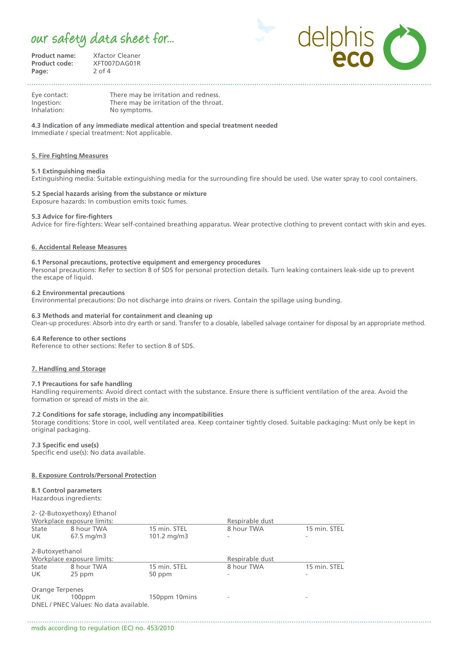## our safety data sheet for...

**Product name:** Xfactor Cleaner<br>**Product code:** XFT007DAG01R **Product code:** XFT007DAG01R<br>**Page:** 2 of 4

**Page:** 2 of 4



Eye contact: There may be irritation and redness. Ingestion: There may be irritation of the throat.<br>Inhalation: No symptoms. No symptoms.

**4.3 Indication of any immediate medical attention and special treatment needed** Immediate / special treatment: Not applicable.

#### **5. Fire Fighting Measures**

#### **5.1 Extinguishing media**

Extinguishing media: Suitable extinguishing media for the surrounding fire should be used. Use water spray to cool containers.

#### **5.2 Special hazards arising from the substance or mixture** Exposure hazards: In combustion emits toxic fumes.

#### **5.3 Advice for fire-fighters**

Advice for fire-fighters: Wear self-contained breathing apparatus. Wear protective clothing to prevent contact with skin and eyes.

#### **6. Accidental Release Measures**

#### **6.1 Personal precautions, protective equipment and emergency procedures**

Personal precautions: Refer to section 8 of SDS for personal protection details. Turn leaking containers leak-side up to prevent the escape of liquid.

#### **6.2 Environmental precautions**

Environmental precautions: Do not discharge into drains or rivers. Contain the spillage using bunding.

#### **6.3 Methods and material for containment and cleaning up**

Clean-up procedures: Absorb into dry earth or sand. Transfer to a closable, labelled salvage container for disposal by an appropriate method.

#### **6.4 Reference to other sections**

Reference to other sections: Refer to section 8 of SDS.

#### **7. Handling and Storage**

#### **7.1 Precautions for safe handling**

Handling requirements: Avoid direct contact with the substance. Ensure there is sufficient ventilation of the area. Avoid the formation or spread of mists in the air.

#### **7.2 Conditions for safe storage, including any incompatibilities**

Storage conditions: Store in cool, well ventilated area. Keep container tightly closed. Suitable packaging: Must only be kept in original packaging.

#### **7.3 Specific end use(s)**

Specific end use(s): No data available.

#### **8. Exposure Controls/Personal Protection**

**8.1 Control parameters** Hazardous ingredients:

#### 2- (2-Butoxyethoxy) Ethanol

| Workplace exposure limits: |                                                     |                      | Respirable dust |              |  |  |
|----------------------------|-----------------------------------------------------|----------------------|-----------------|--------------|--|--|
| State                      | 8 hour TWA                                          | 15 min. STEL         | 8 hour TWA      | 15 min. STEL |  |  |
| UK.                        | $67.5 \,\mathrm{mg/m}$                              | $101.2 \text{ mg/m}$ |                 |              |  |  |
| 2-Butoxyethanol            |                                                     |                      |                 |              |  |  |
|                            | Workplace exposure limits:                          |                      | Respirable dust |              |  |  |
| State                      | 8 hour TWA                                          | 15 min. STEL         | 8 hour TWA      | 15 min. STEL |  |  |
| UK.                        | 25 ppm                                              | 50 ppm               |                 |              |  |  |
| Orange Terpenes            |                                                     |                      |                 |              |  |  |
| UK.                        | $100$ ppm<br>DNEL / PNEC Values: No data available. | 150ppm 10mins        |                 |              |  |  |
|                            |                                                     |                      |                 |              |  |  |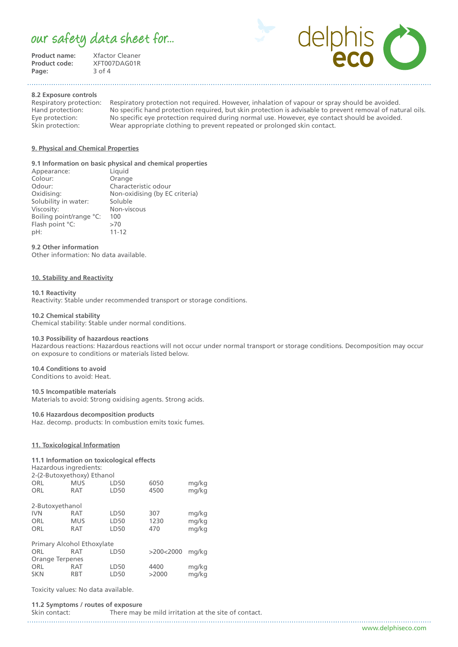### our safety data sheet for...

**Product name:** Xfactor Cleaner<br>**Product code:** XFT007DAG01R Page:

**XFT007DAG01R**<br>3 of 4



**8.2 Exposure controls**

Respiratory protection: Respiratory protection not required. However, inhalation of vapour or spray should be avoided. Hand protection: No specific hand protection required, but skin protection is advisable to prevent removal of natural oils. Eye protection: No specific eye protection required during normal use. However, eye contact should be avoided.<br>Skin protection: Wear appropriate clothing to prevent repeated or prolonged skin contact. Wear appropriate clothing to prevent repeated or prolonged skin contact.

#### **9. Physical and Chemical Properties**

#### **9.1 Information on basic physical and chemical properties**

| Appearance:             | Liquid                         |
|-------------------------|--------------------------------|
| Colour:                 | Orange                         |
| Odour:                  | Characteristic odour           |
| Oxidising:              | Non-oxidising (by EC criteria) |
| Solubility in water:    | Soluble                        |
| Viscosity:              | Non-viscous                    |
| Boiling point/range °C: | 100                            |
| Flash point °C:         | >70                            |
| pH:                     | $11 - 12$                      |
|                         |                                |

#### **9.2 Other information**

Other information: No data available.

#### **10. Stability and Reactivity**

#### **10.1 Reactivity**

Reactivity: Stable under recommended transport or storage conditions.

#### **10.2 Chemical stability**

Chemical stability: Stable under normal conditions.

#### **10.3 Possibility of hazardous reactions**

Hazardous reactions: Hazardous reactions will not occur under normal transport or storage conditions. Decomposition may occur on exposure to conditions or materials listed below.

### **10.4 Conditions to avoid**

Conditions to avoid: Heat.

#### **10.5 Incompatible materials**

Materials to avoid: Strong oxidising agents. Strong acids.

#### **10.6 Hazardous decomposition products**

Haz. decomp. products: In combustion emits toxic fumes.

#### **11. Toxicological Information**

#### **11.1 Information on toxicological effects**

Hazardous ingredients:

| 2-(2-Butoxyethoxy) Ethanol |            |      |           |       |  |
|----------------------------|------------|------|-----------|-------|--|
| ORL                        | <b>MUS</b> | LD50 | 6050      | mg/kg |  |
| ORL                        | RAT        | LD50 | 4500      | mg/kg |  |
| 2-Butoxyethanol            |            |      |           |       |  |
| <b>IVN</b>                 | RAT        | LD50 | 307       | mg/kg |  |
| ORL                        | <b>MUS</b> | LD50 | 1230      | mg/kg |  |
| ORL                        | RAT        | LD50 | 470       | mg/kg |  |
| Primary Alcohol Ethoxylate |            |      |           |       |  |
| ORL                        | RAT        | LD50 | >200<2000 | ma/ka |  |
| Orange Terpenes            |            |      |           |       |  |
| ORL                        | RAT        | LD50 | 4400      | mg/kg |  |
| <b>SKN</b>                 | <b>RBT</b> | LD50 | >2000     | mg/kg |  |
|                            |            |      |           |       |  |

Toxicity values: No data available.

#### **11.2 Symptoms / routes of exposure** Skin contact: There may be mild irritation at the site of contact.

www.delphiseco.com